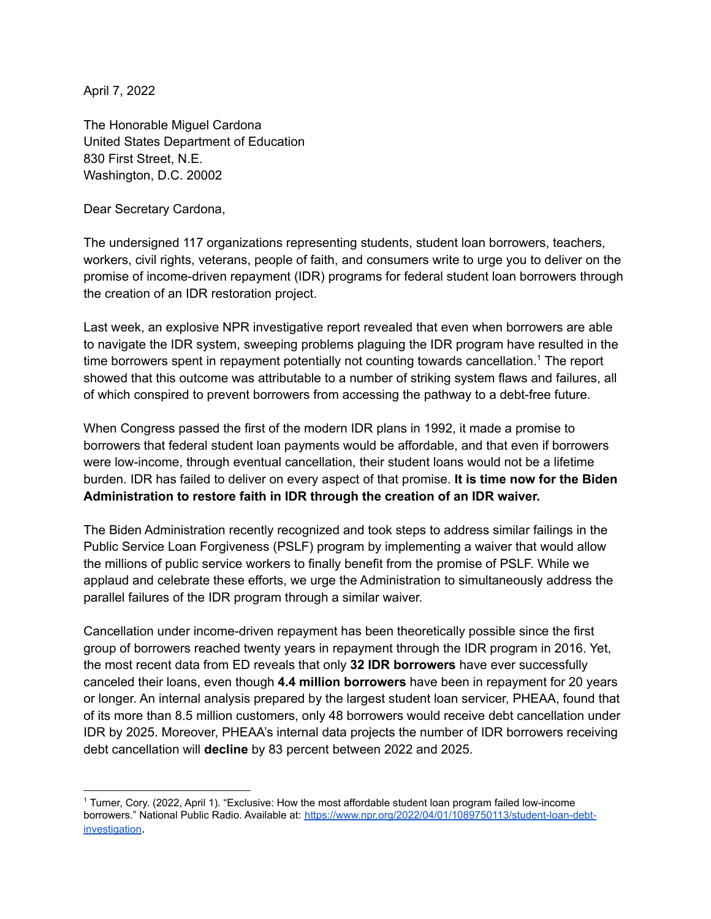April 7, 2022

The Honorable Miguel Cardona United States Department of Education 830 First Street, N.E. Washington, D.C. 20002

Dear Secretary Cardona,

The undersigned 117 organizations representing students, student loan borrowers, teachers, workers, civil rights, veterans, people of faith, and consumers write to urge you to deliver on the promise of income-driven repayment (IDR) programs for federal student loan borrowers through the creation of an IDR restoration project.

Last week, an explosive NPR investigative report revealed that even when borrowers are able to navigate the IDR system, sweeping problems plaguing the IDR program have resulted in the time borrowers spent in repayment potentially not counting towards cancellation. <sup>1</sup> The report showed that this outcome was attributable to a number of striking system flaws and failures, all of which conspired to prevent borrowers from accessing the pathway to a debt-free future.

When Congress passed the first of the modern IDR plans in 1992, it made a promise to borrowers that federal student loan payments would be affordable, and that even if borrowers were low-income, through eventual cancellation, their student loans would not be a lifetime burden. IDR has failed to deliver on every aspect of that promise. **It is time now for the Biden Administration to restore faith in IDR through the creation of an IDR waiver.**

The Biden Administration recently recognized and took steps to address similar failings in the Public Service Loan Forgiveness (PSLF) program by implementing a waiver that would allow the millions of public service workers to finally benefit from the promise of PSLF. While we applaud and celebrate these efforts, we urge the Administration to simultaneously address the parallel failures of the IDR program through a similar waiver.

Cancellation under income-driven repayment has been theoretically possible since the first group of borrowers reached twenty years in repayment through the IDR program in 2016. Yet, the most recent data from ED reveals that only **32 IDR borrowers** have ever successfully canceled their loans, even though **4.4 million borrowers** have been in repayment for 20 years or longer. An internal analysis prepared by the largest student loan servicer, PHEAA, found that of its more than 8.5 million customers, only 48 borrowers would receive debt cancellation under IDR by 2025. Moreover, PHEAA's internal data projects the number of IDR borrowers receiving debt cancellation will **decline** by 83 percent between 2022 and 2025.

<sup>1</sup> Turner, Cory. (2022, April 1). "Exclusive: How the most affordable student loan program failed low-income borrowers." National Public Radio. Available at: https://www.npr.org/2022/04/01/1089750113/student-loan-debtinvestigation.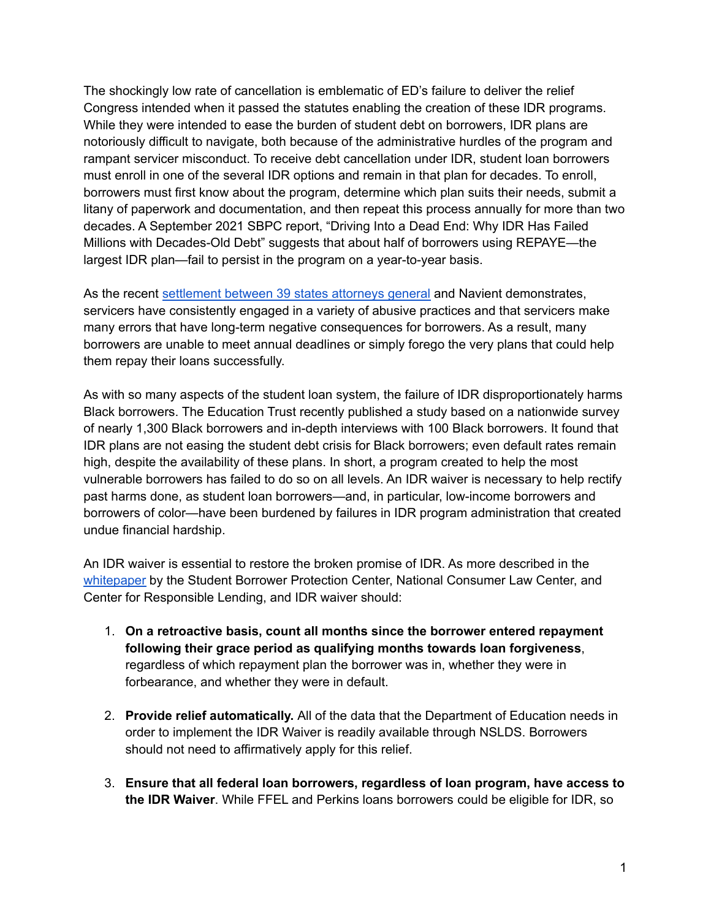The shockingly low rate of cancellation is emblematic of ED's failure to deliver the relief Congress intended when it passed the statutes enabling the creation of these IDR programs. While they were intended to ease the burden of student debt on borrowers, IDR plans are notoriously difficult to navigate, both because of the administrative hurdles of the program and rampant servicer misconduct. To receive debt cancellation under IDR, student loan borrowers must enroll in one of the several IDR options and remain in that plan for decades. To enroll, borrowers must first know about the program, determine which plan suits their needs, submit a litany of paperwork and documentation, and then repeat this process annually for more than two decades. A September 2021 SBPC report, "Driving Into a Dead End: Why IDR Has Failed Millions with Decades-Old Debt" suggests that about half of borrowers using REPAYE—the largest IDR plan—fail to persist in the program on a year-to-year basis.

As the recent [settlement](https://protectborrowers.org/student-borrower-protection-center-statement-on-navients-settlement-with-39-states-cancelling-1-7-billion-in-predatory-private-student-loans/) between 39 states attorneys general and Navient demonstrates, servicers have consistently engaged in a variety of abusive practices and that servicers make many errors that have long-term negative consequences for borrowers. As a result, many borrowers are unable to meet annual deadlines or simply forego the very plans that could help them repay their loans successfully.

As with so many aspects of the student loan system, the failure of IDR disproportionately harms Black borrowers. The Education Trust recently published a study based on a nationwide survey of nearly 1,300 Black borrowers and in-depth interviews with 100 Black borrowers. It found that IDR plans are not easing the student debt crisis for Black borrowers; even default rates remain high, despite the availability of these plans. In short, a program created to help the most vulnerable borrowers has failed to do so on all levels. An IDR waiver is necessary to help rectify past harms done, as student loan borrowers—and, in particular, low-income borrowers and borrowers of color—have been burdened by failures in IDR program administration that created undue financial hardship.

An IDR waiver is essential to restore the broken promise of IDR. As more described in the [whitepaper](https://protectborrowers.org/wp-content/uploads/2022/01/Final-SBPC-NCLC-CRL-IDR-Waiver-Proposal.pdf) by the Student Borrower Protection Center, National Consumer Law Center, and Center for Responsible Lending, and IDR waiver should:

- 1. **On a retroactive basis, count all months since the borrower entered repayment following their grace period as qualifying months towards loan forgiveness**, regardless of which repayment plan the borrower was in, whether they were in forbearance, and whether they were in default.
- 2. **Provide relief automatically.** All of the data that the Department of Education needs in order to implement the IDR Waiver is readily available through NSLDS. Borrowers should not need to affirmatively apply for this relief.
- 3. **Ensure that all federal loan borrowers, regardless of loan program, have access to the IDR Waiver**. While FFEL and Perkins loans borrowers could be eligible for IDR, so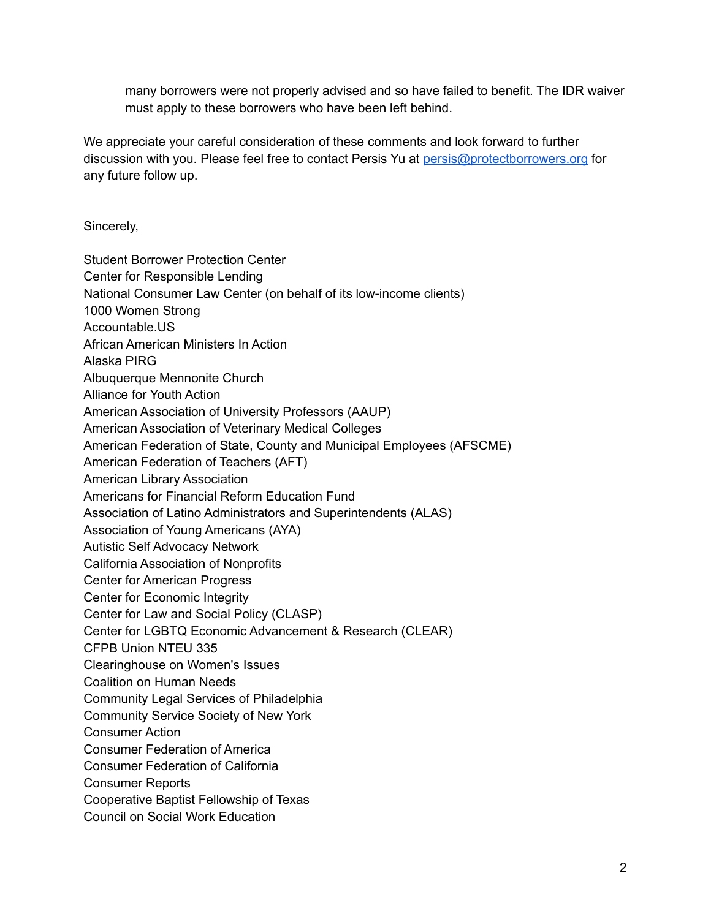many borrowers were not properly advised and so have failed to benefit. The IDR waiver must apply to these borrowers who have been left behind.

We appreciate your careful consideration of these comments and look forward to further discussion with you. Please feel free to contact Persis Yu at [persis@protectborrowers.org](mailto:persis@protectborrowers.org) for any future follow up.

Sincerely,

Student Borrower Protection Center Center for Responsible Lending National Consumer Law Center (on behalf of its low-income clients) 1000 Women Strong Accountable.US African American Ministers In Action Alaska PIRG Albuquerque Mennonite Church Alliance for Youth Action American Association of University Professors (AAUP) American Association of Veterinary Medical Colleges American Federation of State, County and Municipal Employees (AFSCME) American Federation of Teachers (AFT) American Library Association Americans for Financial Reform Education Fund Association of Latino Administrators and Superintendents (ALAS) Association of Young Americans (AYA) Autistic Self Advocacy Network California Association of Nonprofits Center for American Progress Center for Economic Integrity Center for Law and Social Policy (CLASP) Center for LGBTQ Economic Advancement & Research (CLEAR) CFPB Union NTEU 335 Clearinghouse on Women's Issues Coalition on Human Needs Community Legal Services of Philadelphia Community Service Society of New York Consumer Action Consumer Federation of America Consumer Federation of California Consumer Reports Cooperative Baptist Fellowship of Texas Council on Social Work Education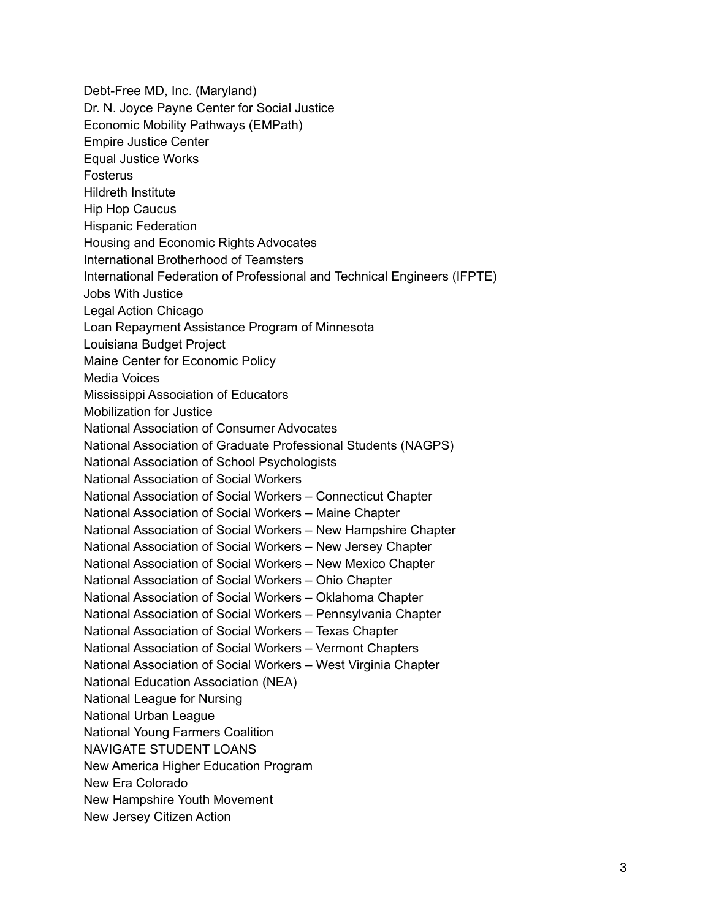Debt-Free MD, Inc. (Maryland) Dr. N. Joyce Payne Center for Social Justice Economic Mobility Pathways (EMPath) Empire Justice Center Equal Justice Works **Fosterus** Hildreth Institute Hip Hop Caucus Hispanic Federation Housing and Economic Rights Advocates International Brotherhood of Teamsters International Federation of Professional and Technical Engineers (IFPTE) Jobs With Justice Legal Action Chicago Loan Repayment Assistance Program of Minnesota Louisiana Budget Project Maine Center for Economic Policy Media Voices Mississippi Association of Educators Mobilization for Justice National Association of Consumer Advocates National Association of Graduate Professional Students (NAGPS) National Association of School Psychologists National Association of Social Workers National Association of Social Workers – Connecticut Chapter National Association of Social Workers – Maine Chapter National Association of Social Workers – New Hampshire Chapter National Association of Social Workers – New Jersey Chapter National Association of Social Workers – New Mexico Chapter National Association of Social Workers – Ohio Chapter National Association of Social Workers – Oklahoma Chapter National Association of Social Workers – Pennsylvania Chapter National Association of Social Workers – Texas Chapter National Association of Social Workers – Vermont Chapters National Association of Social Workers – West Virginia Chapter National Education Association (NEA) National League for Nursing National Urban League National Young Farmers Coalition NAVIGATE STUDENT LOANS New America Higher Education Program New Era Colorado New Hampshire Youth Movement New Jersey Citizen Action